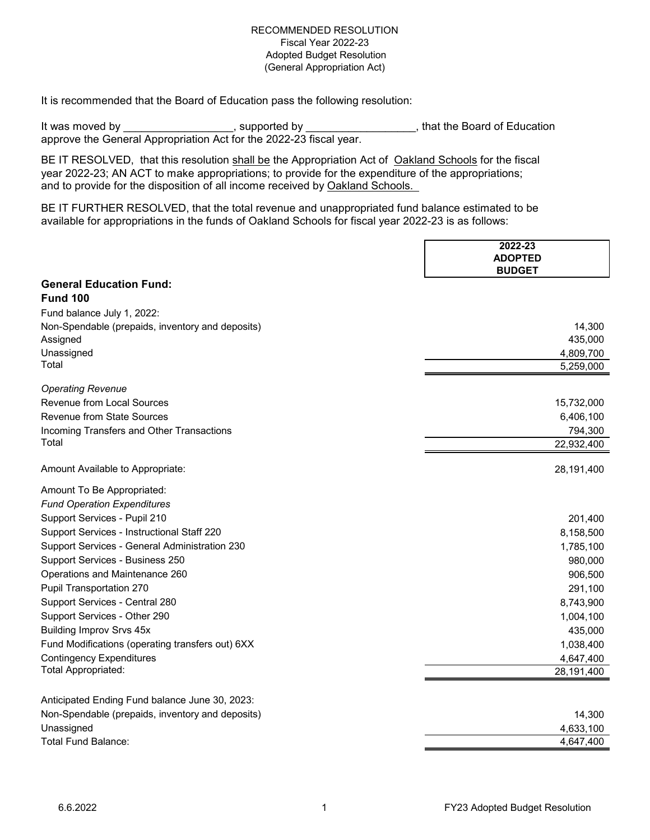It is recommended that the Board of Education pass the following resolution:

It was moved by \_\_\_\_\_\_\_\_\_\_\_\_\_\_\_\_\_\_, supported by \_\_\_\_\_\_\_\_\_\_\_\_\_\_\_\_\_, that the Board of Education approve the General Appropriation Act for the 2022-23 fiscal year.

BE IT RESOLVED, that this resolution shall be the Appropriation Act of Oakland Schools for the fiscal year 2022-23; AN ACT to make appropriations; to provide for the expenditure of the appropriations; and to provide for the disposition of all income received by Oakland Schools.

BE IT FURTHER RESOLVED, that the total revenue and unappropriated fund balance estimated to be available for appropriations in the funds of Oakland Schools for fiscal year 2022-23 is as follows:

|                                                  | 2022-23<br><b>ADOPTED</b> |
|--------------------------------------------------|---------------------------|
|                                                  | <b>BUDGET</b>             |
| <b>General Education Fund:</b>                   |                           |
| <b>Fund 100</b>                                  |                           |
| Fund balance July 1, 2022:                       |                           |
| Non-Spendable (prepaids, inventory and deposits) | 14,300                    |
| Assigned                                         | 435,000                   |
| Unassigned                                       | 4,809,700                 |
| Total                                            | 5,259,000                 |
| <b>Operating Revenue</b>                         |                           |
| Revenue from Local Sources                       | 15,732,000                |
| Revenue from State Sources                       | 6,406,100                 |
| Incoming Transfers and Other Transactions        | 794,300                   |
| Total                                            | 22,932,400                |
| Amount Available to Appropriate:                 | 28,191,400                |
| Amount To Be Appropriated:                       |                           |
| <b>Fund Operation Expenditures</b>               |                           |
| Support Services - Pupil 210                     | 201,400                   |
| Support Services - Instructional Staff 220       | 8,158,500                 |
| Support Services - General Administration 230    | 1,785,100                 |
| Support Services - Business 250                  | 980,000                   |
| Operations and Maintenance 260                   | 906,500                   |
| Pupil Transportation 270                         | 291,100                   |
| Support Services - Central 280                   | 8,743,900                 |
| Support Services - Other 290                     | 1,004,100                 |
| <b>Building Improv Srvs 45x</b>                  | 435,000                   |
| Fund Modifications (operating transfers out) 6XX | 1,038,400                 |
| <b>Contingency Expenditures</b>                  | 4,647,400                 |
| Total Appropriated:                              | 28,191,400                |
|                                                  |                           |
| Anticipated Ending Fund balance June 30, 2023:   |                           |
| Non-Spendable (prepaids, inventory and deposits) | 14,300                    |
| Unassigned                                       | 4,633,100                 |
| <b>Total Fund Balance:</b>                       | 4,647,400                 |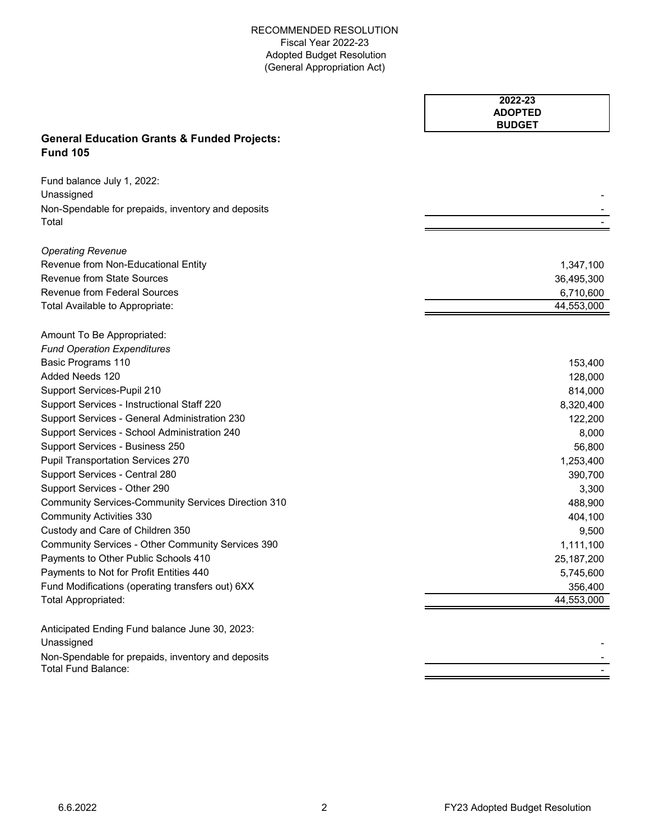|                                                                           | 2022-23<br><b>ADOPTED</b> |
|---------------------------------------------------------------------------|---------------------------|
|                                                                           | <b>BUDGET</b>             |
| <b>General Education Grants &amp; Funded Projects:</b><br><b>Fund 105</b> |                           |
| Fund balance July 1, 2022:                                                |                           |
| Unassigned                                                                |                           |
| Non-Spendable for prepaids, inventory and deposits                        |                           |
| Total                                                                     |                           |
| <b>Operating Revenue</b>                                                  |                           |
| Revenue from Non-Educational Entity                                       | 1,347,100                 |
| <b>Revenue from State Sources</b>                                         | 36,495,300                |
| <b>Revenue from Federal Sources</b>                                       | 6,710,600                 |
| Total Available to Appropriate:                                           | 44,553,000                |
| Amount To Be Appropriated:                                                |                           |
| <b>Fund Operation Expenditures</b>                                        |                           |
| Basic Programs 110                                                        | 153,400                   |
| Added Needs 120                                                           | 128,000                   |
| Support Services-Pupil 210                                                | 814,000                   |
| Support Services - Instructional Staff 220                                | 8,320,400                 |
| Support Services - General Administration 230                             | 122,200                   |
| Support Services - School Administration 240                              | 8,000                     |
| Support Services - Business 250                                           | 56,800                    |
| <b>Pupil Transportation Services 270</b>                                  | 1,253,400                 |
| Support Services - Central 280                                            | 390,700                   |
| Support Services - Other 290                                              | 3,300                     |
| <b>Community Services-Community Services Direction 310</b>                | 488,900                   |
| <b>Community Activities 330</b>                                           | 404,100                   |
| Custody and Care of Children 350                                          | 9,500                     |
| Community Services - Other Community Services 390                         | 1,111,100                 |
| Payments to Other Public Schools 410                                      | 25, 187, 200              |
| Payments to Not for Profit Entities 440                                   | 5,745,600                 |
| Fund Modifications (operating transfers out) 6XX                          | 356,400                   |
| <b>Total Appropriated:</b>                                                | 44,553,000                |
| Anticipated Ending Fund balance June 30, 2023:                            |                           |
| Unassigned                                                                |                           |
| Non-Spendable for prepaids, inventory and deposits                        |                           |
| <b>Total Fund Balance:</b>                                                |                           |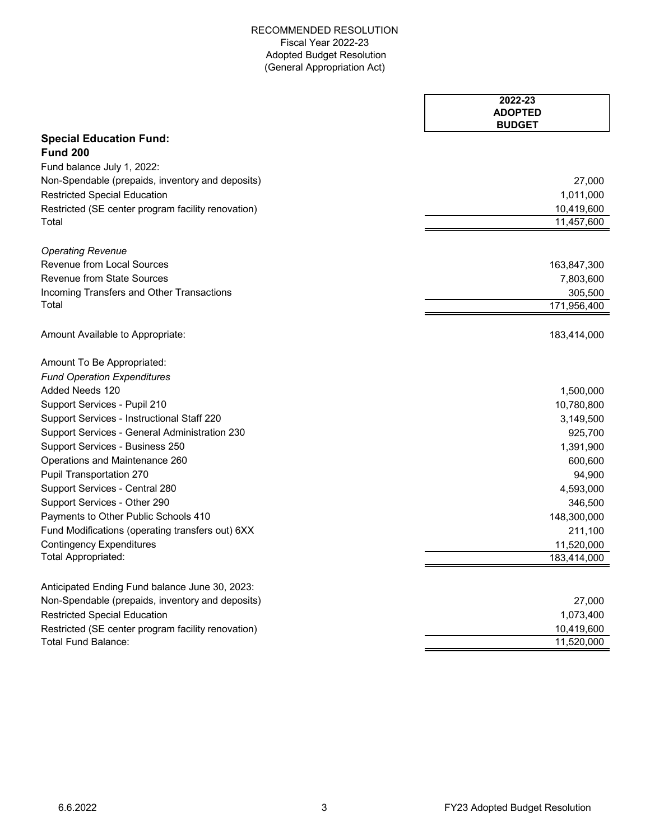|                                                    | 2022-23<br><b>ADOPTED</b> |
|----------------------------------------------------|---------------------------|
|                                                    | <b>BUDGET</b>             |
| <b>Special Education Fund:</b>                     |                           |
| <b>Fund 200</b>                                    |                           |
| Fund balance July 1, 2022:                         |                           |
| Non-Spendable (prepaids, inventory and deposits)   | 27,000                    |
| <b>Restricted Special Education</b>                | 1,011,000                 |
| Restricted (SE center program facility renovation) | 10,419,600                |
| Total                                              | 11,457,600                |
| <b>Operating Revenue</b>                           |                           |
| Revenue from Local Sources                         | 163,847,300               |
| <b>Revenue from State Sources</b>                  | 7,803,600                 |
| Incoming Transfers and Other Transactions          | 305,500                   |
| Total                                              | 171,956,400               |
|                                                    |                           |
| Amount Available to Appropriate:                   | 183,414,000               |
| Amount To Be Appropriated:                         |                           |
| <b>Fund Operation Expenditures</b>                 |                           |
| Added Needs 120                                    | 1,500,000                 |
| Support Services - Pupil 210                       | 10,780,800                |
| Support Services - Instructional Staff 220         | 3,149,500                 |
| Support Services - General Administration 230      | 925,700                   |
| Support Services - Business 250                    | 1,391,900                 |
| Operations and Maintenance 260                     | 600,600                   |
| Pupil Transportation 270                           | 94,900                    |
| Support Services - Central 280                     | 4,593,000                 |
| Support Services - Other 290                       | 346,500                   |
| Payments to Other Public Schools 410               | 148,300,000               |
| Fund Modifications (operating transfers out) 6XX   | 211,100                   |
| <b>Contingency Expenditures</b>                    | 11,520,000                |
| Total Appropriated:                                | 183,414,000               |
| Anticipated Ending Fund balance June 30, 2023:     |                           |
| Non-Spendable (prepaids, inventory and deposits)   | 27,000                    |
| <b>Restricted Special Education</b>                | 1,073,400                 |
| Restricted (SE center program facility renovation) | 10,419,600                |
| Total Fund Balance:                                | 11,520,000                |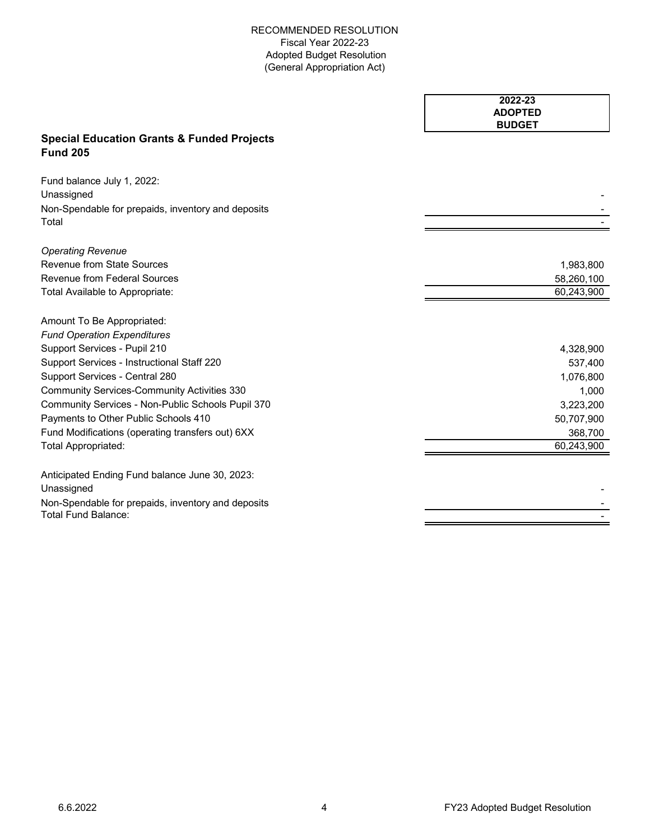|                                                                                                | 2022-23<br><b>ADOPTED</b><br><b>BUDGET</b> |
|------------------------------------------------------------------------------------------------|--------------------------------------------|
| <b>Special Education Grants &amp; Funded Projects</b><br><b>Fund 205</b>                       |                                            |
| Fund balance July 1, 2022:<br>Unassigned<br>Non-Spendable for prepaids, inventory and deposits |                                            |
| Total                                                                                          |                                            |
| <b>Operating Revenue</b>                                                                       |                                            |
| <b>Revenue from State Sources</b>                                                              | 1,983,800                                  |
| <b>Revenue from Federal Sources</b>                                                            | 58,260,100                                 |
| Total Available to Appropriate:                                                                | 60,243,900                                 |
| Amount To Be Appropriated:                                                                     |                                            |
| <b>Fund Operation Expenditures</b>                                                             |                                            |
| Support Services - Pupil 210                                                                   | 4,328,900                                  |
| Support Services - Instructional Staff 220                                                     | 537,400                                    |
| Support Services - Central 280                                                                 | 1,076,800                                  |
| <b>Community Services-Community Activities 330</b>                                             | 1,000                                      |
| Community Services - Non-Public Schools Pupil 370                                              | 3,223,200                                  |
| Payments to Other Public Schools 410                                                           | 50,707,900                                 |
| Fund Modifications (operating transfers out) 6XX                                               | 368,700                                    |
| Total Appropriated:                                                                            | 60,243,900                                 |
| Anticipated Ending Fund balance June 30, 2023:                                                 |                                            |
| Unassigned                                                                                     |                                            |
| Non-Spendable for prepaids, inventory and deposits<br><b>Total Fund Balance:</b>               |                                            |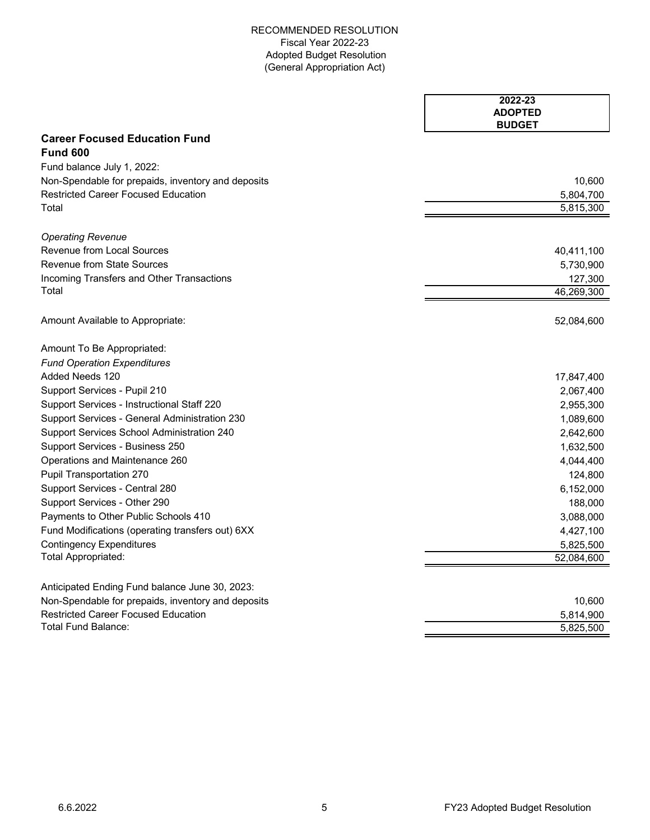|                                                    | 2022-23<br><b>ADOPTED</b><br><b>BUDGET</b> |
|----------------------------------------------------|--------------------------------------------|
| <b>Career Focused Education Fund</b>               |                                            |
| <b>Fund 600</b>                                    |                                            |
| Fund balance July 1, 2022:                         |                                            |
| Non-Spendable for prepaids, inventory and deposits | 10,600                                     |
| <b>Restricted Career Focused Education</b>         | 5,804,700                                  |
| Total                                              | 5,815,300                                  |
| <b>Operating Revenue</b>                           |                                            |
| Revenue from Local Sources                         | 40,411,100                                 |
| Revenue from State Sources                         | 5,730,900                                  |
| Incoming Transfers and Other Transactions          | 127,300                                    |
| Total                                              | 46,269,300                                 |
| Amount Available to Appropriate:                   | 52,084,600                                 |
| Amount To Be Appropriated:                         |                                            |
| <b>Fund Operation Expenditures</b>                 |                                            |
| Added Needs 120                                    | 17,847,400                                 |
| Support Services - Pupil 210                       | 2,067,400                                  |
| Support Services - Instructional Staff 220         | 2,955,300                                  |
| Support Services - General Administration 230      | 1,089,600                                  |
| Support Services School Administration 240         | 2,642,600                                  |
| Support Services - Business 250                    | 1,632,500                                  |
| Operations and Maintenance 260                     | 4,044,400                                  |
| Pupil Transportation 270                           | 124,800                                    |
| Support Services - Central 280                     | 6,152,000                                  |
| Support Services - Other 290                       | 188,000                                    |
| Payments to Other Public Schools 410               | 3,088,000                                  |
| Fund Modifications (operating transfers out) 6XX   | 4,427,100                                  |
| <b>Contingency Expenditures</b>                    | 5,825,500                                  |
| Total Appropriated:                                | 52,084,600                                 |
| Anticipated Ending Fund balance June 30, 2023:     |                                            |
| Non-Spendable for prepaids, inventory and deposits | 10,600                                     |
| <b>Restricted Career Focused Education</b>         | 5,814,900                                  |
| Total Fund Balance:                                | 5,825,500                                  |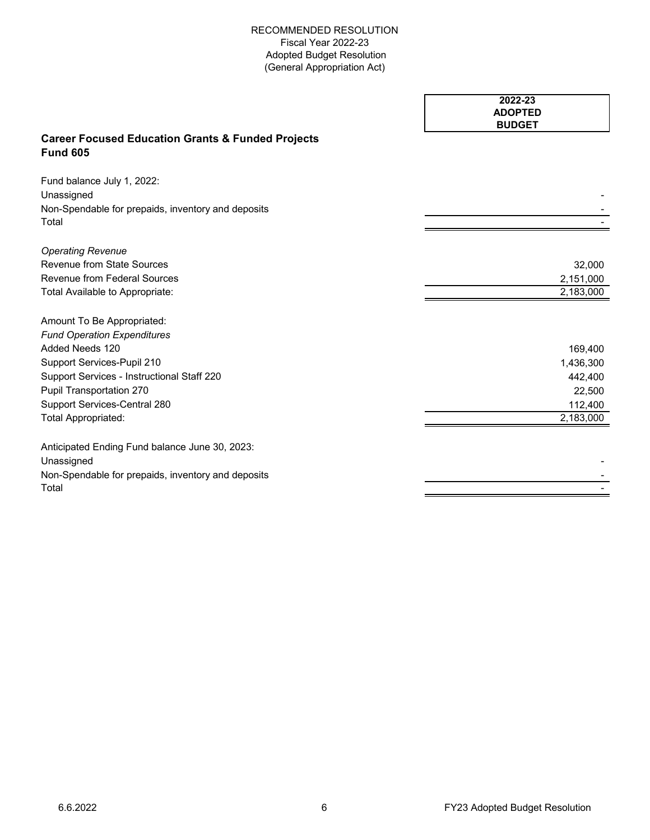|                                                                                 | 2022-23<br><b>ADOPTED</b> |
|---------------------------------------------------------------------------------|---------------------------|
|                                                                                 | <b>BUDGET</b>             |
| <b>Career Focused Education Grants &amp; Funded Projects</b><br><b>Fund 605</b> |                           |
| Fund balance July 1, 2022:<br>Unassigned                                        |                           |
| Non-Spendable for prepaids, inventory and deposits                              |                           |
| Total                                                                           |                           |
| <b>Operating Revenue</b>                                                        |                           |
| Revenue from State Sources                                                      | 32,000                    |
| <b>Revenue from Federal Sources</b>                                             | 2,151,000                 |
| Total Available to Appropriate:                                                 | 2,183,000                 |
| Amount To Be Appropriated:                                                      |                           |
| <b>Fund Operation Expenditures</b>                                              |                           |
| Added Needs 120                                                                 | 169,400                   |
| Support Services-Pupil 210                                                      | 1,436,300                 |
| Support Services - Instructional Staff 220                                      | 442,400                   |
| Pupil Transportation 270                                                        | 22,500                    |
| Support Services-Central 280                                                    | 112,400                   |
| Total Appropriated:                                                             | 2,183,000                 |
| Anticipated Ending Fund balance June 30, 2023:                                  |                           |
| Unassigned                                                                      |                           |
| Non-Spendable for prepaids, inventory and deposits                              |                           |
| Total                                                                           |                           |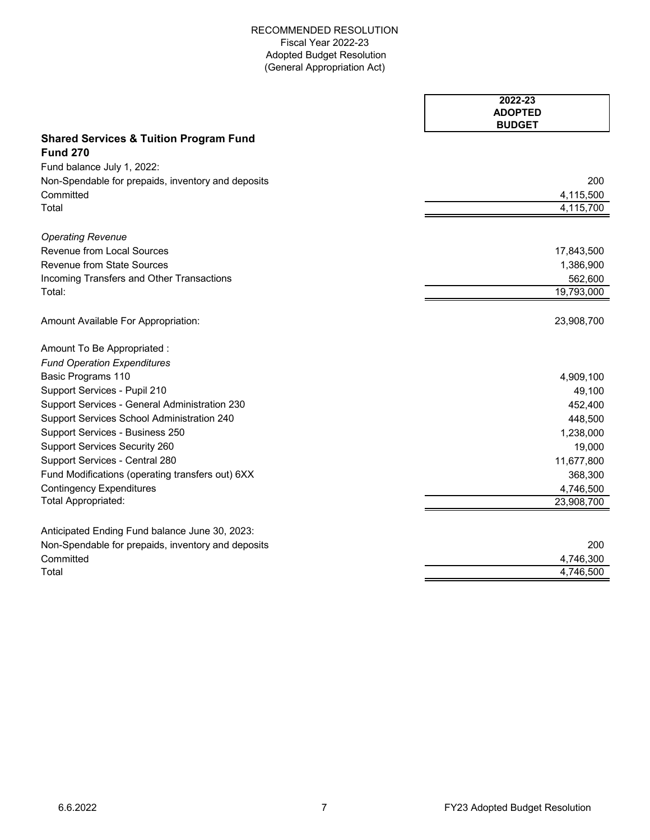$\mathbf{r}$ 

|                                                    | 2022-23<br><b>ADOPTED</b><br><b>BUDGET</b> |
|----------------------------------------------------|--------------------------------------------|
| <b>Shared Services &amp; Tuition Program Fund</b>  |                                            |
| <b>Fund 270</b>                                    |                                            |
| Fund balance July 1, 2022:                         |                                            |
| Non-Spendable for prepaids, inventory and deposits | 200                                        |
| Committed                                          | 4,115,500                                  |
| Total                                              | 4,115,700                                  |
| <b>Operating Revenue</b>                           |                                            |
| <b>Revenue from Local Sources</b>                  | 17,843,500                                 |
| <b>Revenue from State Sources</b>                  | 1,386,900                                  |
| Incoming Transfers and Other Transactions          | 562,600                                    |
| Total:                                             | 19,793,000                                 |
| Amount Available For Appropriation:                | 23,908,700                                 |
| Amount To Be Appropriated :                        |                                            |
| <b>Fund Operation Expenditures</b>                 |                                            |
| Basic Programs 110                                 | 4,909,100                                  |
| Support Services - Pupil 210                       | 49,100                                     |
| Support Services - General Administration 230      | 452,400                                    |
| Support Services School Administration 240         | 448,500                                    |
| Support Services - Business 250                    | 1,238,000                                  |
| <b>Support Services Security 260</b>               | 19,000                                     |
| Support Services - Central 280                     | 11,677,800                                 |
| Fund Modifications (operating transfers out) 6XX   | 368,300                                    |
| <b>Contingency Expenditures</b>                    | 4,746,500                                  |
| Total Appropriated:                                | 23,908,700                                 |
| Anticipated Ending Fund balance June 30, 2023:     |                                            |
| Non-Spendable for prepaids, inventory and deposits | 200                                        |
| Committed                                          | 4,746,300                                  |
| Total                                              | 4,746,500                                  |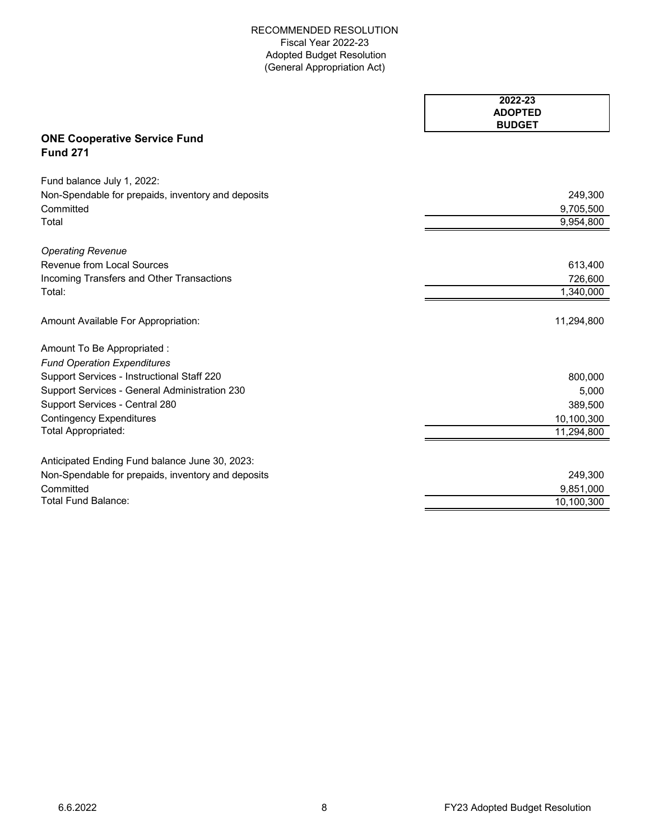|                                                        | 2022-23<br><b>ADOPTED</b> |
|--------------------------------------------------------|---------------------------|
|                                                        | <b>BUDGET</b>             |
| <b>ONE Cooperative Service Fund</b><br><b>Fund 271</b> |                           |
| Fund balance July 1, 2022:                             |                           |
| Non-Spendable for prepaids, inventory and deposits     | 249,300                   |
| Committed                                              | 9,705,500                 |
| Total                                                  | 9,954,800                 |
| <b>Operating Revenue</b>                               |                           |
| Revenue from Local Sources                             | 613,400                   |
| Incoming Transfers and Other Transactions              | 726,600                   |
| Total:                                                 | 1,340,000                 |
| Amount Available For Appropriation:                    | 11,294,800                |
| Amount To Be Appropriated :                            |                           |
| <b>Fund Operation Expenditures</b>                     |                           |
| Support Services - Instructional Staff 220             | 800,000                   |
| Support Services - General Administration 230          | 5,000                     |
| Support Services - Central 280                         | 389,500                   |
| <b>Contingency Expenditures</b>                        | 10,100,300                |
| Total Appropriated:                                    | 11,294,800                |
| Anticipated Ending Fund balance June 30, 2023:         |                           |
| Non-Spendable for prepaids, inventory and deposits     | 249,300                   |
| Committed                                              | 9,851,000                 |
| <b>Total Fund Balance:</b>                             | 10,100,300                |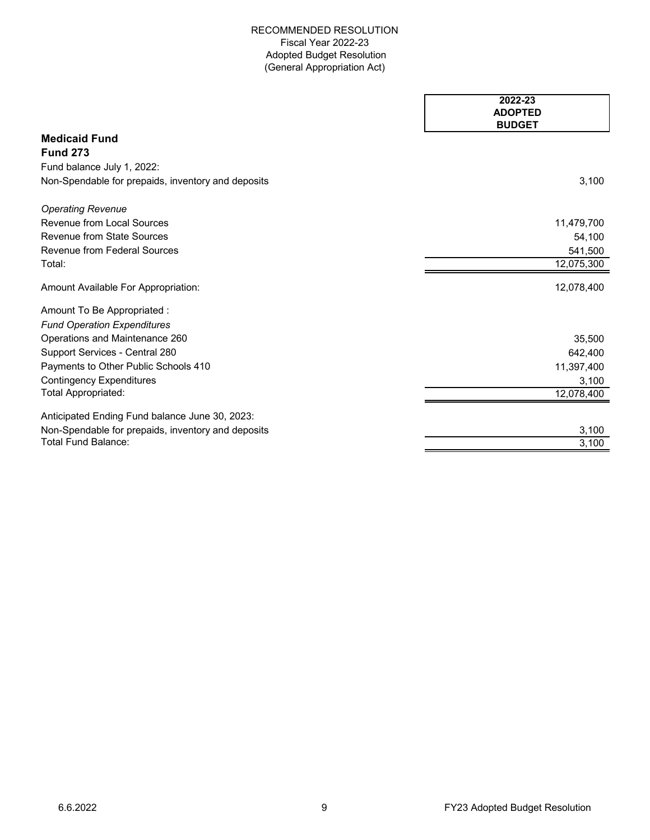|                                                    | 2022-23<br><b>ADOPTED</b><br><b>BUDGET</b> |
|----------------------------------------------------|--------------------------------------------|
| <b>Medicaid Fund</b>                               |                                            |
| <b>Fund 273</b>                                    |                                            |
| Fund balance July 1, 2022:                         |                                            |
| Non-Spendable for prepaids, inventory and deposits | 3,100                                      |
| <b>Operating Revenue</b>                           |                                            |
| Revenue from Local Sources                         | 11,479,700                                 |
| <b>Revenue from State Sources</b>                  | 54,100                                     |
| <b>Revenue from Federal Sources</b>                | 541,500                                    |
| Total:                                             | 12,075,300                                 |
| Amount Available For Appropriation:                | 12,078,400                                 |
| Amount To Be Appropriated :                        |                                            |
| <b>Fund Operation Expenditures</b>                 |                                            |
| Operations and Maintenance 260                     | 35,500                                     |
| Support Services - Central 280                     | 642,400                                    |
| Payments to Other Public Schools 410               | 11,397,400                                 |
| <b>Contingency Expenditures</b>                    | 3,100                                      |
| Total Appropriated:                                | 12,078,400                                 |
| Anticipated Ending Fund balance June 30, 2023:     |                                            |
| Non-Spendable for prepaids, inventory and deposits | 3,100                                      |
| Total Fund Balance:                                | 3,100                                      |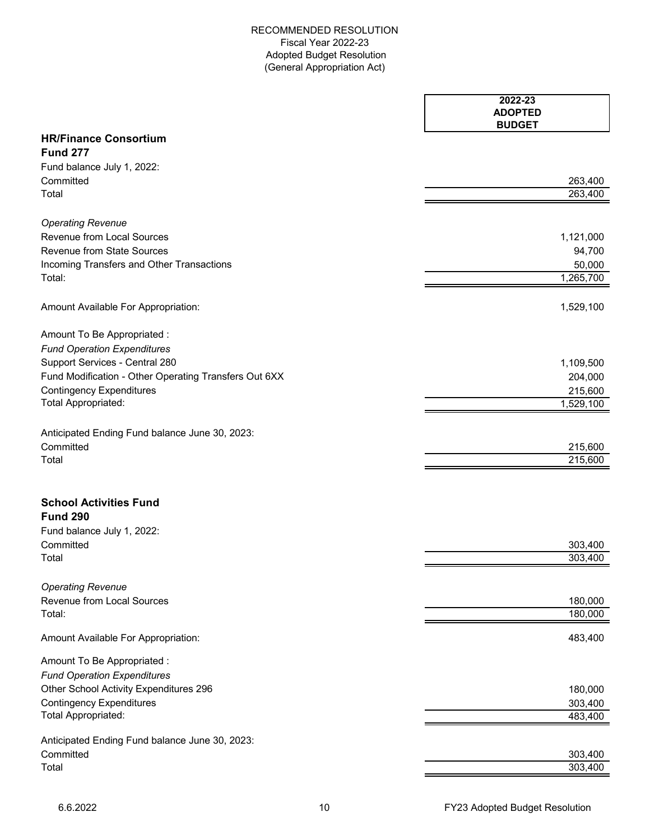|                                                       | 2022-23<br><b>ADOPTED</b><br><b>BUDGET</b> |
|-------------------------------------------------------|--------------------------------------------|
| <b>HR/Finance Consortium</b>                          |                                            |
| <b>Fund 277</b>                                       |                                            |
| Fund balance July 1, 2022:                            |                                            |
| Committed                                             | 263,400                                    |
| Total                                                 | 263,400                                    |
| <b>Operating Revenue</b>                              |                                            |
| Revenue from Local Sources                            | 1,121,000                                  |
| <b>Revenue from State Sources</b>                     | 94,700                                     |
| Incoming Transfers and Other Transactions             | 50,000                                     |
| Total:                                                | 1,265,700                                  |
| Amount Available For Appropriation:                   | 1,529,100                                  |
| Amount To Be Appropriated :                           |                                            |
| <b>Fund Operation Expenditures</b>                    |                                            |
| Support Services - Central 280                        | 1,109,500                                  |
| Fund Modification - Other Operating Transfers Out 6XX | 204,000                                    |
| <b>Contingency Expenditures</b>                       | 215,600                                    |
| Total Appropriated:                                   | 1,529,100                                  |
| Anticipated Ending Fund balance June 30, 2023:        |                                            |
| Committed                                             | 215,600                                    |
| Total                                                 | 215,600                                    |
| <b>School Activities Fund</b>                         |                                            |
| <b>Fund 290</b>                                       |                                            |
| Fund balance July 1, 2022:                            |                                            |
| Committed                                             | 303,400                                    |
| Total                                                 | 303,400                                    |
| <b>Operating Revenue</b>                              |                                            |
| Revenue from Local Sources                            | 180,000                                    |
| Total:                                                | 180,000                                    |
| Amount Available For Appropriation:                   | 483,400                                    |
| Amount To Be Appropriated :                           |                                            |
| <b>Fund Operation Expenditures</b>                    |                                            |
| Other School Activity Expenditures 296                | 180,000                                    |
| <b>Contingency Expenditures</b>                       | 303,400                                    |
| Total Appropriated:                                   | 483,400                                    |
| Anticipated Ending Fund balance June 30, 2023:        |                                            |
| Committed                                             | 303,400                                    |
| Total                                                 | 303,400                                    |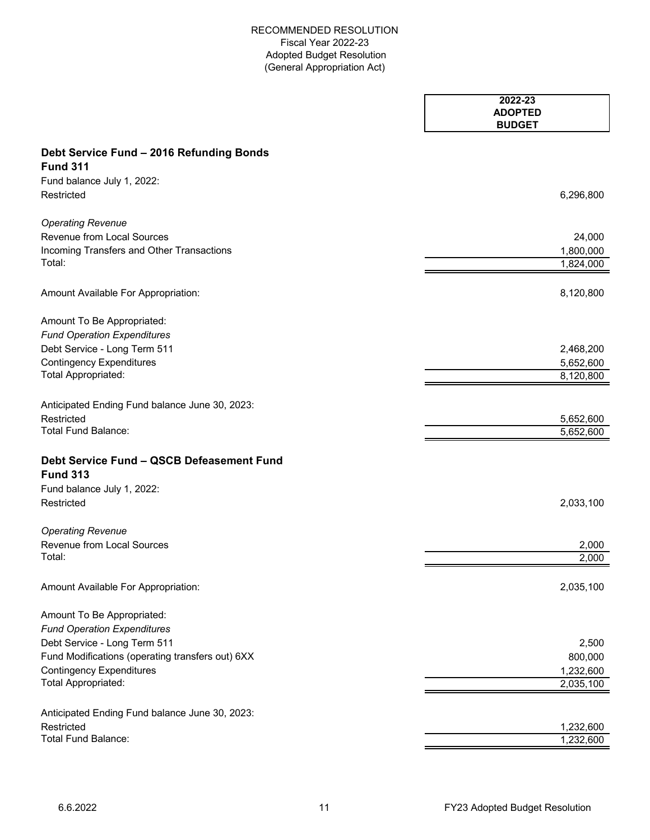|                                                              | 2022-23<br><b>ADOPTED</b><br><b>BUDGET</b> |
|--------------------------------------------------------------|--------------------------------------------|
| Debt Service Fund - 2016 Refunding Bonds                     |                                            |
| <b>Fund 311</b>                                              |                                            |
| Fund balance July 1, 2022:                                   |                                            |
| Restricted                                                   | 6,296,800                                  |
| <b>Operating Revenue</b>                                     |                                            |
| <b>Revenue from Local Sources</b>                            | 24,000                                     |
| Incoming Transfers and Other Transactions                    | 1,800,000                                  |
| Total:                                                       | 1,824,000                                  |
| Amount Available For Appropriation:                          | 8,120,800                                  |
| Amount To Be Appropriated:                                   |                                            |
| <b>Fund Operation Expenditures</b>                           |                                            |
| Debt Service - Long Term 511                                 | 2,468,200                                  |
| <b>Contingency Expenditures</b>                              | 5,652,600                                  |
| Total Appropriated:                                          | 8,120,800                                  |
| Anticipated Ending Fund balance June 30, 2023:               |                                            |
| Restricted                                                   | 5,652,600                                  |
| <b>Total Fund Balance:</b>                                   | 5,652,600                                  |
| Debt Service Fund - QSCB Defeasement Fund<br><b>Fund 313</b> |                                            |
| Fund balance July 1, 2022:                                   |                                            |
| Restricted                                                   | 2,033,100                                  |
| <b>Operating Revenue</b>                                     |                                            |
| Revenue from Local Sources                                   | 2,000                                      |
| Total:                                                       | 2,000                                      |
| Amount Available For Appropriation:                          | 2,035,100                                  |
| Amount To Be Appropriated:                                   |                                            |
| <b>Fund Operation Expenditures</b>                           |                                            |
| Debt Service - Long Term 511                                 | 2,500                                      |
| Fund Modifications (operating transfers out) 6XX             | 800,000                                    |
| <b>Contingency Expenditures</b>                              | 1,232,600                                  |
| <b>Total Appropriated:</b>                                   | 2,035,100                                  |
| Anticipated Ending Fund balance June 30, 2023:               |                                            |
| Restricted                                                   | 1,232,600                                  |
| <b>Total Fund Balance:</b>                                   | 1,232,600                                  |
|                                                              |                                            |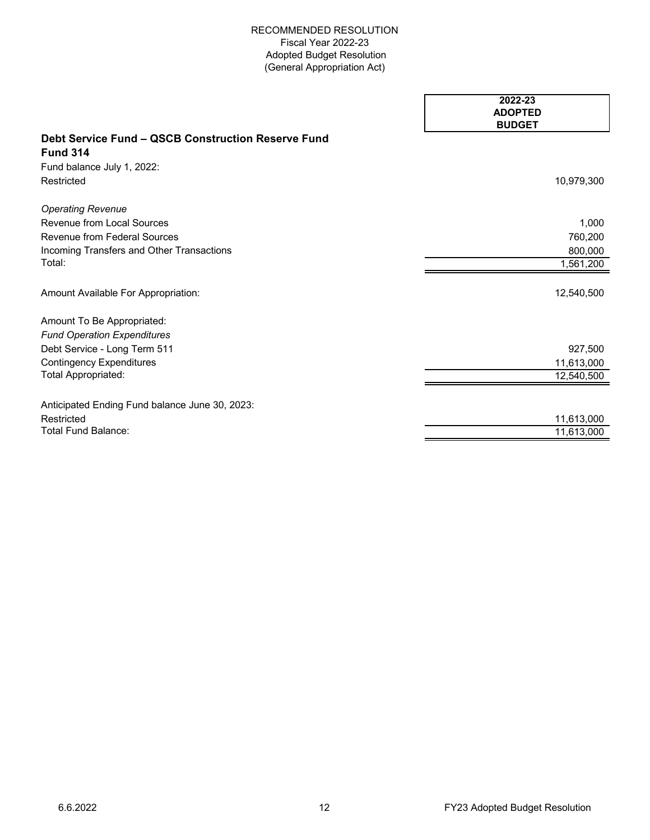|                                                           | 2022-23<br><b>ADOPTED</b><br><b>BUDGET</b> |
|-----------------------------------------------------------|--------------------------------------------|
| <b>Debt Service Fund - QSCB Construction Reserve Fund</b> |                                            |
| <b>Fund 314</b>                                           |                                            |
| Fund balance July 1, 2022:                                |                                            |
| Restricted                                                | 10,979,300                                 |
| <b>Operating Revenue</b>                                  |                                            |
| <b>Revenue from Local Sources</b>                         | 1,000                                      |
| Revenue from Federal Sources                              | 760,200                                    |
| Incoming Transfers and Other Transactions                 | 800,000                                    |
| Total:                                                    | 1,561,200                                  |
| Amount Available For Appropriation:                       | 12,540,500                                 |
| Amount To Be Appropriated:                                |                                            |
| <b>Fund Operation Expenditures</b>                        |                                            |
| Debt Service - Long Term 511                              | 927,500                                    |
| <b>Contingency Expenditures</b>                           | 11,613,000                                 |
| Total Appropriated:                                       | 12,540,500                                 |
| Anticipated Ending Fund balance June 30, 2023:            |                                            |
| Restricted                                                | 11,613,000                                 |
| <b>Total Fund Balance:</b>                                | 11,613,000                                 |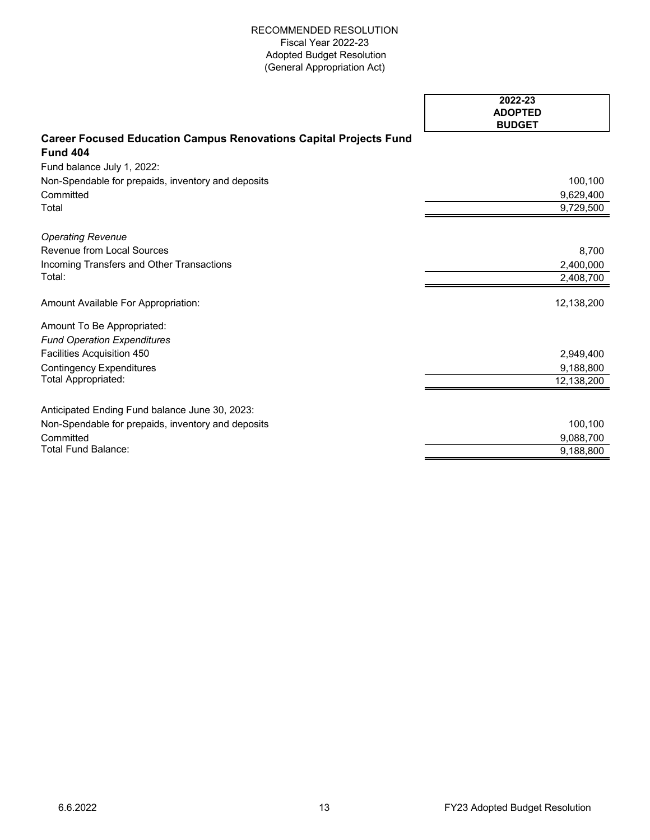|                                                                          | 2022-23                         |
|--------------------------------------------------------------------------|---------------------------------|
|                                                                          | <b>ADOPTED</b><br><b>BUDGET</b> |
| <b>Career Focused Education Campus Renovations Capital Projects Fund</b> |                                 |
| <b>Fund 404</b>                                                          |                                 |
| Fund balance July 1, 2022:                                               |                                 |
| Non-Spendable for prepaids, inventory and deposits                       | 100,100                         |
| Committed                                                                | 9,629,400                       |
| Total                                                                    | 9,729,500                       |
| <b>Operating Revenue</b>                                                 |                                 |
| <b>Revenue from Local Sources</b>                                        | 8,700                           |
| Incoming Transfers and Other Transactions                                | 2,400,000                       |
| Total:                                                                   | 2,408,700                       |
| Amount Available For Appropriation:                                      | 12,138,200                      |
| Amount To Be Appropriated:                                               |                                 |
| <b>Fund Operation Expenditures</b>                                       |                                 |
| Facilities Acquisition 450                                               | 2,949,400                       |
| <b>Contingency Expenditures</b>                                          | 9,188,800                       |
| Total Appropriated:                                                      | 12,138,200                      |
| Anticipated Ending Fund balance June 30, 2023:                           |                                 |
| Non-Spendable for prepaids, inventory and deposits                       | 100,100                         |
| Committed                                                                | 9,088,700                       |
| <b>Total Fund Balance:</b>                                               | 9,188,800                       |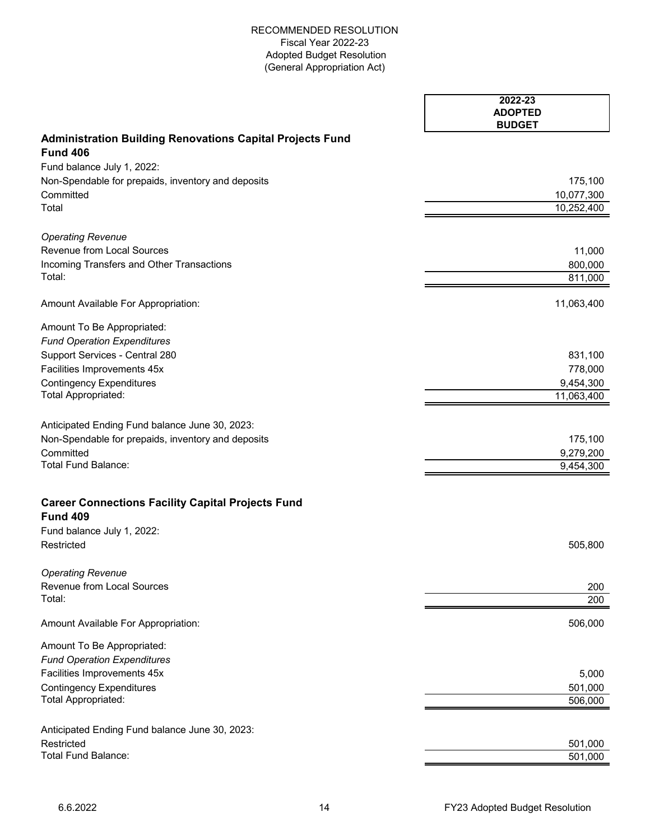|                                                                             | 2022-23<br><b>ADOPTED</b><br><b>BUDGET</b> |
|-----------------------------------------------------------------------------|--------------------------------------------|
| <b>Administration Building Renovations Capital Projects Fund</b>            |                                            |
| <b>Fund 406</b>                                                             |                                            |
| Fund balance July 1, 2022:                                                  |                                            |
| Non-Spendable for prepaids, inventory and deposits                          | 175,100                                    |
| Committed                                                                   | 10,077,300                                 |
| Total                                                                       | 10,252,400                                 |
| <b>Operating Revenue</b>                                                    |                                            |
| Revenue from Local Sources                                                  | 11,000                                     |
| Incoming Transfers and Other Transactions                                   | 800,000                                    |
| Total:                                                                      | 811,000                                    |
| Amount Available For Appropriation:                                         | 11,063,400                                 |
| Amount To Be Appropriated:                                                  |                                            |
| <b>Fund Operation Expenditures</b>                                          |                                            |
| Support Services - Central 280                                              | 831,100                                    |
| Facilities Improvements 45x                                                 | 778,000                                    |
| <b>Contingency Expenditures</b><br>Total Appropriated:                      | 9,454,300<br>11,063,400                    |
|                                                                             |                                            |
| Anticipated Ending Fund balance June 30, 2023:                              |                                            |
| Non-Spendable for prepaids, inventory and deposits                          | 175,100                                    |
| Committed                                                                   | 9,279,200                                  |
| <b>Total Fund Balance:</b>                                                  | 9,454,300                                  |
| <b>Career Connections Facility Capital Projects Fund</b><br><b>Fund 409</b> |                                            |
| Fund balance July 1, 2022:                                                  |                                            |
| Restricted                                                                  | 505,800                                    |
| <b>Operating Revenue</b>                                                    |                                            |
| Revenue from Local Sources<br>Total:                                        | 200<br>200                                 |
|                                                                             |                                            |
| Amount Available For Appropriation:                                         | 506,000                                    |
| Amount To Be Appropriated:                                                  |                                            |
| <b>Fund Operation Expenditures</b>                                          |                                            |
| Facilities Improvements 45x                                                 | 5,000                                      |
| <b>Contingency Expenditures</b><br>Total Appropriated:                      | 501,000                                    |
|                                                                             | 506,000                                    |
| Anticipated Ending Fund balance June 30, 2023:                              |                                            |
| Restricted                                                                  | 501,000                                    |
| <b>Total Fund Balance:</b>                                                  | 501,000                                    |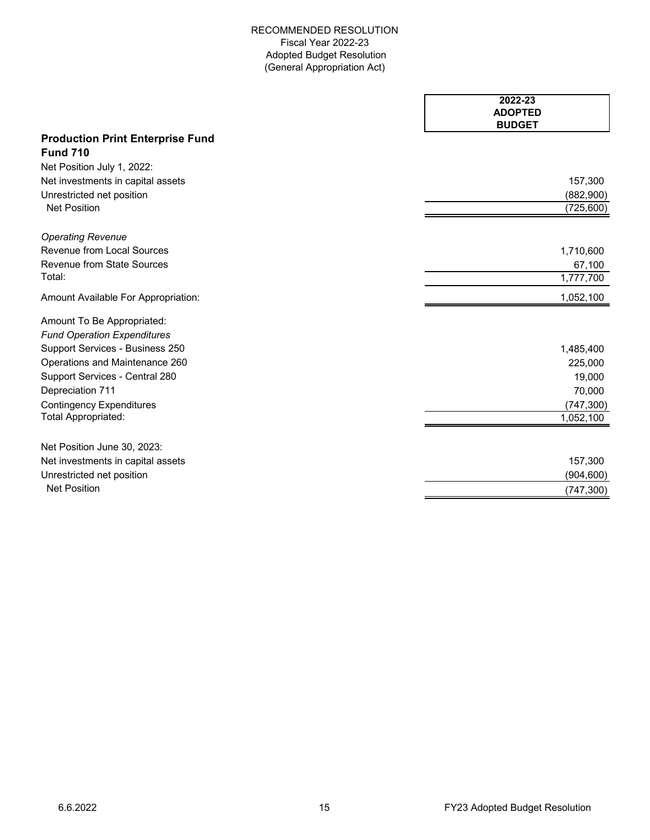|                                         | 2022-23<br><b>ADOPTED</b><br><b>BUDGET</b> |
|-----------------------------------------|--------------------------------------------|
| <b>Production Print Enterprise Fund</b> |                                            |
| <b>Fund 710</b>                         |                                            |
| Net Position July 1, 2022:              |                                            |
| Net investments in capital assets       | 157,300                                    |
| Unrestricted net position               | (882,900)                                  |
| <b>Net Position</b>                     | (725, 600)                                 |
| <b>Operating Revenue</b>                |                                            |
| Revenue from Local Sources              | 1,710,600                                  |
| Revenue from State Sources              | 67,100                                     |
| Total:                                  | 1,777,700                                  |
| Amount Available For Appropriation:     | 1,052,100                                  |
| Amount To Be Appropriated:              |                                            |
| <b>Fund Operation Expenditures</b>      |                                            |
| Support Services - Business 250         | 1,485,400                                  |
| Operations and Maintenance 260          | 225,000                                    |
| Support Services - Central 280          | 19,000                                     |
| Depreciation 711                        | 70,000                                     |
| <b>Contingency Expenditures</b>         | (747, 300)                                 |
| Total Appropriated:                     | 1,052,100                                  |
| Net Position June 30, 2023:             |                                            |
| Net investments in capital assets       | 157,300                                    |
| Unrestricted net position               | (904, 600)                                 |
| <b>Net Position</b>                     | (747, 300)                                 |